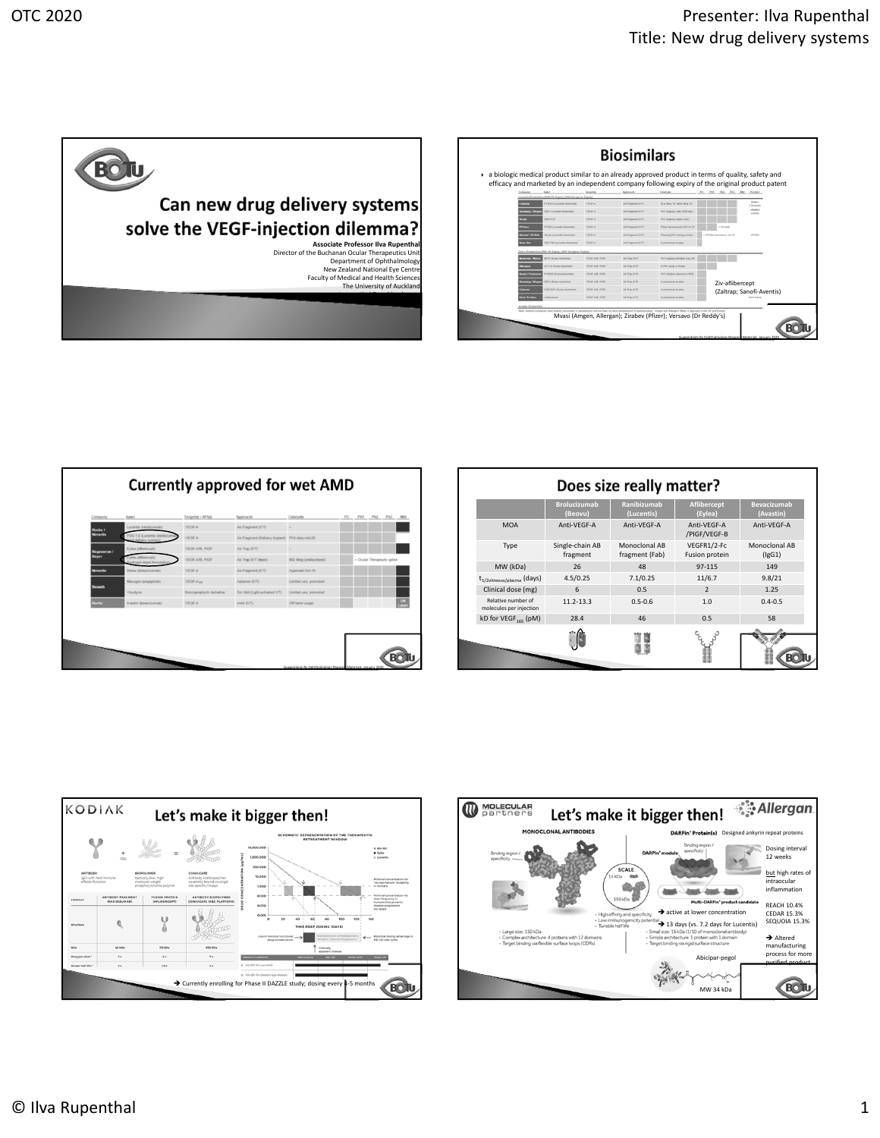| Can new drug delivery systems                                                                                                                                                                                                     |  |
|-----------------------------------------------------------------------------------------------------------------------------------------------------------------------------------------------------------------------------------|--|
| solve the VEGF-injection dilemma?                                                                                                                                                                                                 |  |
| Associate Professor Ilva Rupenthal<br>Director of the Buchanan Ocular Therapeutics Unit<br>Department of Ophthalmology<br>New Zealand National Eye Centre<br>Faculty of Medical and Health Sciences<br>The University of Auckland |  |

|                   |                                                                                               | Targetós            | Approach          | Catalysts                       | efficacy and marketed by an independent company following expiry of the original product patent<br>PC PM Ph3 Ph3 MH Partner |                             |
|-------------------|-----------------------------------------------------------------------------------------------|---------------------|-------------------|---------------------------------|-----------------------------------------------------------------------------------------------------------------------------|-----------------------------|
| Coheren           | Locentia Biosimilara (2020 US Expiry   2022 European Expiry)<br>FYR201 (Currentle bankinsbar) | <b>VEOFA</b>        | Ab Fregment (IVT) | BLA Bing '19, MAA Bing '20      |                                                                                                                             | <b>Biggia</b> I<br>Formycon |
|                   | 5811 (Lucentia biosimilar)<br><b>Samming / Blog</b>                                           | <b>VEGFA</b>        | Ab Fregment (IVT) | Ph3 ongoing, data 2020 (est.)   |                                                                                                                             | <b>Liftsbach</b><br>(China) |
| <b>Lenju</b>      | $5.49 - 24.33$                                                                                | <b>VEOPA</b>        | Ab Frequent (I/T) | Ph3 ongoing Uspan only)         |                                                                                                                             |                             |
| <b>PFEnes</b>     | PF582 6.scentis biosimilar)                                                                   | <b>VEOFA</b>        | Ab Fragment (IVT) | Plizer returned post-Ph1 in '10 | Cin Noir                                                                                                                    |                             |
|                   | <b>Kleane / STACA</b><br>Suran Euranta binsimilari                                            | <b>VEGFA</b>        | Ab Fragment (IVT) | Planning Phit, liming unclear   | 4 STADA Anemastin Jul-18                                                                                                    | STACA                       |
| <b>Siam Bio</b>   | 585 700 (Lucentia biosimilar)                                                                 | <b>VEOPA</b>        | Ab Fragment (IVT) | in precieical studies           |                                                                                                                             |                             |
|                   | Eylea Biogimilars (2020 US Expiry   2021 European Expiry)                                     |                     |                   |                                 |                                                                                                                             |                             |
|                   | <b>Bomenta / Mylan</b><br>M710 (Eyles bicairniar)                                             | VEGEAN PICE         | Ab Trap (IVT)     | Ph3 ongoing (initiated Aug-18)  |                                                                                                                             |                             |
| <b>Designa</b>    | ALT-L9 (Eyles biosimilar)                                                                     | VEGF-AIR: PICK      | Ab Tree (NT)      | in Phil study in Korea          |                                                                                                                             |                             |
|                   | FYB2S3 (Eylea biceimilar)<br>anto / Formycon                                                  | VEGEAR POP          | All Trap (NT)     | Ph3 initiation planned in 2020  |                                                                                                                             |                             |
|                   | 5815 (Eyles biceimiar)<br><b>Lammang / Bioger</b>                                             | VEGF-AIR, PICK      | Ab Trap (NT)      | in precieical studes            | Ziv-aflibercept                                                                                                             |                             |
| <b>Substitute</b> | CHS-3351 (Eyles biosimilar)                                                                   | <b>VEGF-AR PIGE</b> | Ab Tran (VT)      | in preciousnel shades.          |                                                                                                                             | (Zaltrap; Sanofi-Aventis)   |
|                   | Unfortrast<br>rne Techno                                                                      | VEGEAR POP          | All Trap (IVT)    | in precieical studes            |                                                                                                                             | <b>Kishi Kasal</b>          |

| Company             | Asset                                              | Target(s) / AP1(s)        | Approach                                       | Catalysts                     | PC. | Ph1                         | Ph2 | Ph3 Mkt |
|---------------------|----------------------------------------------------|---------------------------|------------------------------------------------|-------------------------------|-----|-----------------------------|-----|---------|
| Roche /<br>Novartis | Lucentia (ranibizumab)                             | <b>VEGF-A</b>             | Ab Fragment (IVT)                              | $\overline{\phantom{a}}$      |     |                             |     |         |
|                     | PDS-1.0 (Lucentis (ranibizum<br>of delivery system | <b>VEOF-A</b>             | Ab Fragment (Delivery Implant) Ph3 data mid-20 |                               |     |                             |     |         |
| Regeneron /         | Eylea (afibercept)                                 | VECF-A/B: PICF            | Ab Trap (IVT)                                  |                               |     |                             |     |         |
| Bayer               | Eylea (affibercept)<br>Prydrogel depot form        | VEGF-A/B; PIGF            | Ab Trap (IVT depot)                            | <b>ND fiing (undisclosed)</b> |     | < Ocular Therapeutix option |     |         |
| <b>Movartis</b>     | Beow (broketizumab)                                | <b>VEGF-A</b>             | Ab Fragment (IVT)                              | Approved Oct-19               |     |                             |     |         |
| <b>Saunch</b>       | Macupen (pegaptinib)                               | VEGF-Auer                 | Aptamer (IVT)                                  | Limited use; promoted         |     |                             |     |         |
|                     | Visudyne                                           | Benzoporphyrin derivative | Sm Mol (Light-activated IVT)                   | Limited use; promoted         |     |                             |     |         |
| <b>SOCKET</b>       | Aventin (bevec)zumab)                              | <b>VEGF-A</b>             | mAb (IVT)                                      | Off label usean               |     |                             |     |         |

|                                               | Does size really matter?       |                                 |                               |                                 |  |  |  |  |  |
|-----------------------------------------------|--------------------------------|---------------------------------|-------------------------------|---------------------------------|--|--|--|--|--|
|                                               | <b>Brolucizumab</b><br>(Beovu) | Ranibizumab<br>(Lucentis)       | Aflibercept<br>(Eylea)        | <b>Bevacizumab</b><br>(Avastin) |  |  |  |  |  |
| <b>MOA</b>                                    | Anti-VEGF-A                    | Anti-VEGF-A                     | Anti-VFGF-A<br>/PIGF/VEGF-B   | Anti-VEGF-A                     |  |  |  |  |  |
| Type                                          | Single-chain AB<br>fragment    | Monoclonal AB<br>fragment (Fab) | VEGFR1/2-Fc<br>Fusion protein | Monoclonal AB<br>(lgG1)         |  |  |  |  |  |
| MW (kDa)                                      | 26                             | 48                              | 97-115                        | 149                             |  |  |  |  |  |
| t <sub>1/2vitreous/plasma</sub> (days)        | 4.5/0.25                       | 7.1/0.25                        | 11/6.7                        | 9.8/21                          |  |  |  |  |  |
| Clinical dose (mg)                            | 6                              | 0.5                             | $\mathfrak{p}$                | 1.25                            |  |  |  |  |  |
| Relative number of<br>molecules per injection | 11.2-13.3                      | $0.5 - 0.6$                     | 1.0                           | $0.4 - 0.5$                     |  |  |  |  |  |
| kD for VEGF <sub>165</sub> (pM)               | 28.4                           | 46                              | 0.5                           | 58                              |  |  |  |  |  |
|                                               |                                |                                 |                               |                                 |  |  |  |  |  |